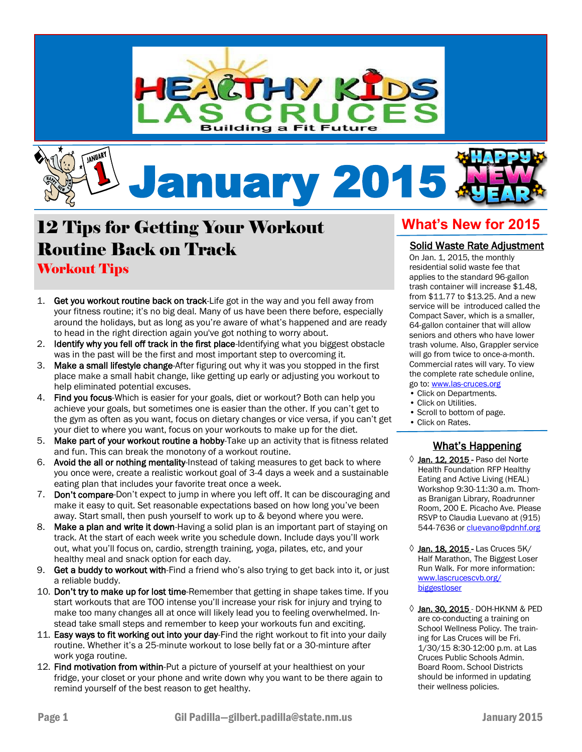



## 12 Tips for Getting Your Workout Routine Back on Track Workout Tips

- 1. Get you workout routine back on track-Life got in the way and you fell away from your fitness routine; it's no big deal. Many of us have been there before, especially around the holidays, but as long as you're aware of what's happened and are ready to head in the right direction again you've got nothing to worry about.
- 2. Identify why you fell off track in the first place-Identifying what you biggest obstacle was in the past will be the first and most important step to overcoming it.
- 3. Make a small lifestyle change-After figuring out why it was you stopped in the first place make a small habit change, like getting up early or adjusting you workout to help eliminated potential excuses.
- 4. Find you focus-Which is easier for your goals, diet or workout? Both can help you achieve your goals, but sometimes one is easier than the other. If you can't get to the gym as often as you want, focus on dietary changes or vice versa, if you can't get your diet to where you want, focus on your workouts to make up for the diet.
- 5. Make part of your workout routine a hobby-Take up an activity that is fitness related and fun. This can break the monotony of a workout routine.
- 6. Avoid the all or nothing mentality-Instead of taking measures to get back to where you once were, create a realistic workout goal of 3-4 days a week and a sustainable eating plan that includes your favorite treat once a week.
- 7. Don't compare-Don't expect to jump in where you left off. It can be discouraging and make it easy to quit. Set reasonable expectations based on how long you've been away. Start small, then push yourself to work up to & beyond where you were.
- 8. Make a plan and write it down-Having a solid plan is an important part of staying on track. At the start of each week write you schedule down. Include days you'll work out, what you'll focus on, cardio, strength training, yoga, pilates, etc, and your healthy meal and snack option for each day.
- 9. Get a buddy to workout with-Find a friend who's also trying to get back into it, or just a reliable buddy.
- 10. Don't try to make up for lost time-Remember that getting in shape takes time. If you start workouts that are TOO intense you'll increase your risk for injury and trying to make too many changes all at once will likely lead you to feeling overwhelmed. Instead take small steps and remember to keep your workouts fun and exciting.
- 11. Easy ways to fit working out into your day-Find the right workout to fit into your daily routine. Whether it's a 25-minute workout to lose belly fat or a 30-minture after work yoga routine.
- 12. Find motivation from within-Put a picture of yourself at your healthiest on your fridge, your closet or your phone and write down why you want to be there again to remind yourself of the best reason to get healthy.

## **What's New for 2015**

#### Solid Waste Rate Adjustment

On Jan. 1, 2015, the monthly residential solid waste fee that applies to the standard 96-gallon trash container will increase \$1.48, from \$11.77 to \$13.25. And a new service will be introduced called the Compact Saver, which is a smaller, 64-gallon container that will allow seniors and others who have lower trash volume. Also, Grappler service will go from twice to once-a-month. Commercial rates will vary. To view the complete rate schedule online, go to: [www.las-cruces.org](http://www.lascruces.org)

- Click on Departments.
- Click on Utilities.
- Scroll to bottom of page.
- Click on Rates.

#### i What's Happening

- $\Diamond$  Jan. 12, 2015 Paso del Norte Health Foundation RFP Healthy Eating and Active Living (HEAL) Workshop 9:30-11:30 a.m. Thomas Branigan Library, Roadrunner Room, 200 E. Picacho Ave. Please RSVP to Claudia Luevano at (915) 544-7636 or [cluevano@pdnhf.org](mailto:cluevano@pdnhf.org)
- ↓ Jan. 18. 2015 Las Cruces 5K/ Half Marathon, The Biggest Loser Run Walk. For more information: [www.lascrucescvb.org/](http://www.lascrucescvb.org/biggestloser) [biggestloser](http://www.lascrucescvb.org/biggestloser)
- ◊ Jan. 30, 2015 DOH-HKNM & PED are co-conducting a training on School Wellness Policy. The training for Las Cruces will be Fri. 1/30/15 8:30-12:00 p.m. at Las Cruces Public Schools Admin. Board Room. School Districts should be informed in updating their wellness policies.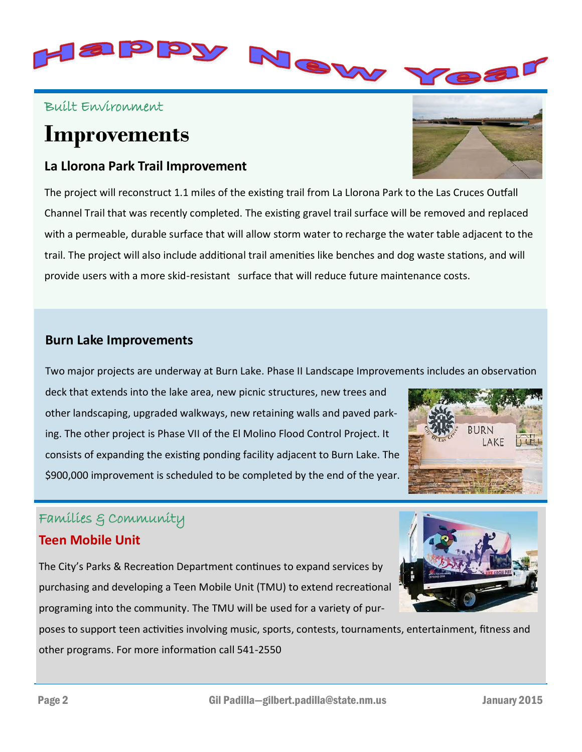

### Built Environment

# **Improvements**

### **La Llorona Park Trail Improvement**

The project will reconstruct 1.1 miles of the existing trail from La Llorona Park to the Las Cruces Outfall Channel Trail that was recently completed. The existing gravel trail surface will be removed and replaced with a permeable, durable surface that will allow storm water to recharge the water table adjacent to the trail. The project will also include additional trail amenities like benches and dog waste stations, and will provide users with a more skid-resistant surface that will reduce future maintenance costs.

#### **Burn Lake Improvements**

Two major projects are underway at Burn Lake. Phase II Landscape Improvements includes an observation

deck that extends into the lake area, new picnic structures, new trees and other landscaping, upgraded walkways, new retaining walls and paved parking. The other project is Phase VII of the El Molino Flood Control Project. It consists of expanding the existing ponding facility adjacent to Burn Lake. The \$900,000 improvement is scheduled to be completed by the end of the year.

### Families & Community

#### **Teen Mobile Unit**

The City's Parks & Recreation Department continues to expand services by purchasing and developing a Teen Mobile Unit (TMU) to extend recreational programing into the community. The TMU will be used for a variety of pur-

poses to support teen activities involving music, sports, contests, tournaments, entertainment, fitness and other programs. For more information call 541-2550







Bar